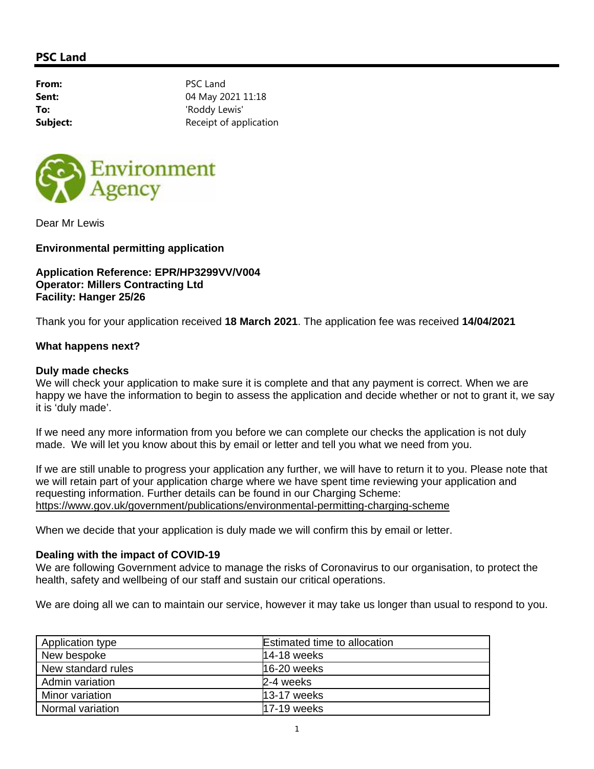# **PSC Land**

From: PSC Land **Sent:** 04 May 2021 11:18 **To:** 'Roddy Lewis' **Subject:** Receipt of application



Dear Mr Lewis

**Environmental permitting application** 

### **Application Reference: EPR/HP3299VV/V004 Operator: Millers Contracting Ltd Facility: Hanger 25/26**

Thank you for your application received **18 March 2021**. The application fee was received **14/04/2021** 

### **What happens next?**

#### **Duly made checks**

We will check your application to make sure it is complete and that any payment is correct. When we are happy we have the information to begin to assess the application and decide whether or not to grant it, we say it is 'duly made'.

If we need any more information from you before we can complete our checks the application is not duly made. We will let you know about this by email or letter and tell you what we need from you.

If we are still unable to progress your application any further, we will have to return it to you. Please note that we will retain part of your application charge where we have spent time reviewing your application and requesting information. Further details can be found in our Charging Scheme: https://www.gov.uk/government/publications/environmental-permitting-charging-scheme

When we decide that your application is duly made we will confirm this by email or letter.

## **Dealing with the impact of COVID-19**

We are following Government advice to manage the risks of Coronavirus to our organisation, to protect the health, safety and wellbeing of our staff and sustain our critical operations.

We are doing all we can to maintain our service, however it may take us longer than usual to respond to you.

| Application type   | <b>Estimated time to allocation</b> |
|--------------------|-------------------------------------|
| New bespoke        | 14-18 weeks                         |
| New standard rules | $16-20$ weeks                       |
| Admin variation    | 2-4 weeks                           |
| Minor variation    | 13-17 weeks                         |
| Normal variation   | <b>17-19</b> weeks                  |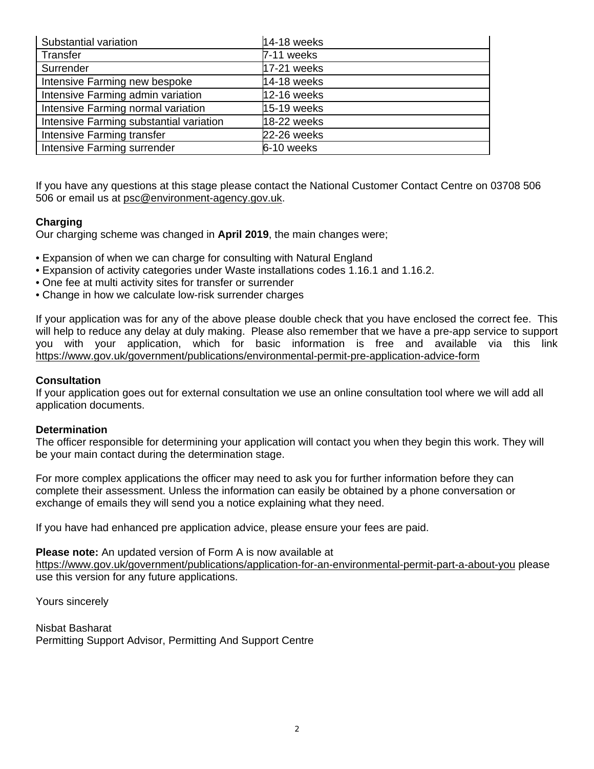| Substantial variation                   | 14-18 weeks |
|-----------------------------------------|-------------|
| Transfer                                | 7-11 weeks  |
| Surrender                               | 17-21 weeks |
| Intensive Farming new bespoke           | 14-18 weeks |
| Intensive Farming admin variation       | 12-16 weeks |
| Intensive Farming normal variation      | 15-19 weeks |
| Intensive Farming substantial variation | 18-22 weeks |
| Intensive Farming transfer              | 22-26 weeks |
| Intensive Farming surrender             | 6-10 weeks  |

If you have any questions at this stage please contact the National Customer Contact Centre on 03708 506 506 or email us at psc@environment-agency.gov.uk.

# **Charging**

Our charging scheme was changed in **April 2019**, the main changes were;

- Expansion of when we can charge for consulting with Natural England
- Expansion of activity categories under Waste installations codes 1.16.1 and 1.16.2.
- One fee at multi activity sites for transfer or surrender
- Change in how we calculate low-risk surrender charges

If your application was for any of the above please double check that you have enclosed the correct fee. This will help to reduce any delay at duly making. Please also remember that we have a pre-app service to support you with your application, which for basic information is free and available via this link https://www.gov.uk/government/publications/environmental-permit-pre-application-advice-form

## **Consultation**

If your application goes out for external consultation we use an online consultation tool where we will add all application documents.

#### **Determination**

The officer responsible for determining your application will contact you when they begin this work. They will be your main contact during the determination stage.

For more complex applications the officer may need to ask you for further information before they can complete their assessment. Unless the information can easily be obtained by a phone conversation or exchange of emails they will send you a notice explaining what they need.

If you have had enhanced pre application advice, please ensure your fees are paid.

**Please note:** An updated version of Form A is now available at https://www.gov.uk/government/publications/application-for-an-environmental-permit-part-a-about-you please use this version for any future applications.

Yours sincerely

Nisbat Basharat Permitting Support Advisor, Permitting And Support Centre